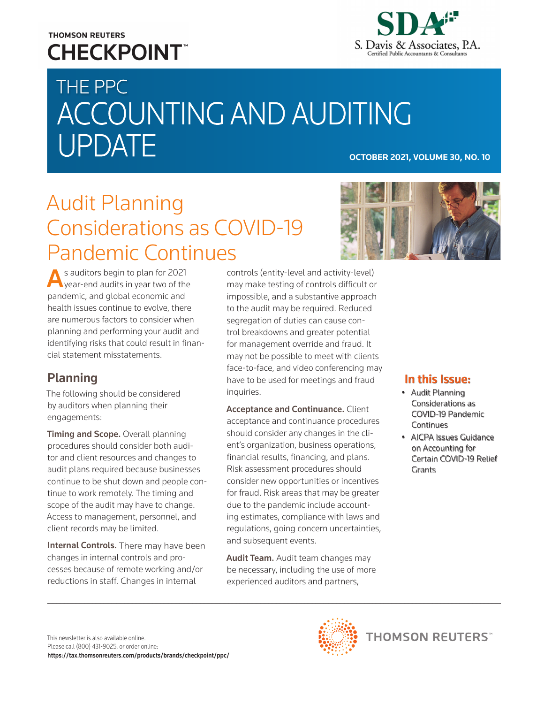## **THOMSON REUTERS CHECKPOINT**



# THE PPC ACCOUNTING AND AUDITING UPDATE **OCTOBER 2021, VOLUME 30, NO. 10**

## Audit Planning Considerations as COVID-19 Pandemic Continues



s auditors begin to plan for 2021 **W** year-end audits in year two of the pandemic, and global economic and health issues continue to evolve, there are numerous factors to consider when planning and performing your audit and identifying risks that could result in financial statement misstatements.

## Planning

The following should be considered by auditors when planning their engagements:

**Timing and Scope.** Overall planning procedures should consider both auditor and client resources and changes to audit plans required because businesses continue to be shut down and people continue to work remotely. The timing and scope of the audit may have to change. Access to management, personnel, and client records may be limited.

Internal Controls. There may have been changes in internal controls and processes because of remote working and/or reductions in staff. Changes in internal

controls (entity-level and activity-level) may make testing of controls difficult or impossible, and a substantive approach to the audit may be required. Reduced segregation of duties can cause control breakdowns and greater potential for management override and fraud. It may not be possible to meet with clients face-to-face, and video conferencing may have to be used for meetings and fraud inquiries.

**Acceptance and Continuance. Client** acceptance and continuance procedures should consider any changes in the client's organization, business operations, financial results, financing, and plans. Risk assessment procedures should consider new opportunities or incentives for fraud. Risk areas that may be greater due to the pandemic include accounting estimates, compliance with laws and regulations, going concern uncertainties, and subsequent events.

Audit Team. Audit team changes may be necessary, including the use of more experienced auditors and partners,

### In this Issue:

- Audit Planning Considerations as COVID-19 Pandemic Continues
- AICPA Issues Guidance on Accounting for Certain COVID-19 Relief Grants

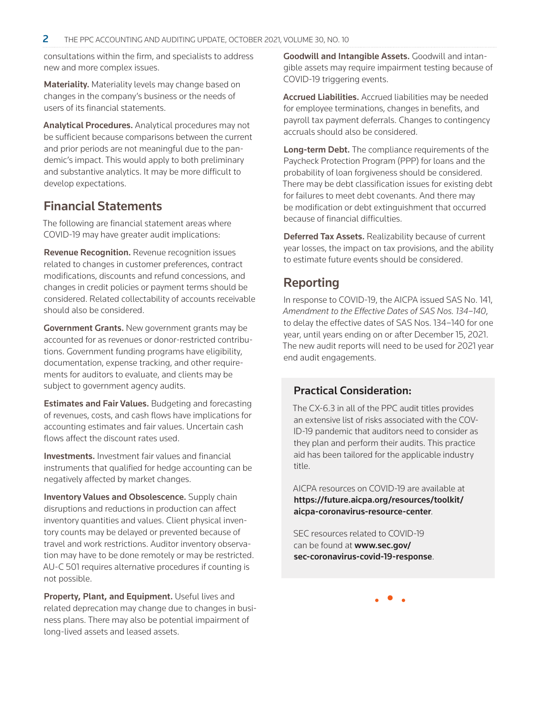consultations within the firm, and specialists to address new and more complex issues.

Materiality. Materiality levels may change based on changes in the company's business or the needs of users of its financial statements.

Analytical Procedures. Analytical procedures may not be sufficient because comparisons between the current and prior periods are not meaningful due to the pandemic's impact. This would apply to both preliminary and substantive analytics. It may be more difficult to develop expectations.

## Financial Statements

The following are financial statement areas where COVID-19 may have greater audit implications:

Revenue Recognition. Revenue recognition issues related to changes in customer preferences, contract modifications, discounts and refund concessions, and changes in credit policies or payment terms should be considered. Related collectability of accounts receivable should also be considered.

Government Grants. New government grants may be accounted for as revenues or donor-restricted contributions. Government funding programs have eligibility, documentation, expense tracking, and other requirements for auditors to evaluate, and clients may be subject to government agency audits.

Estimates and Fair Values. Budgeting and forecasting of revenues, costs, and cash flows have implications for accounting estimates and fair values. Uncertain cash flows affect the discount rates used.

Investments. Investment fair values and financial instruments that qualified for hedge accounting can be negatively affected by market changes.

Inventory Values and Obsolescence. Supply chain disruptions and reductions in production can affect inventory quantities and values. Client physical inventory counts may be delayed or prevented because of travel and work restrictions. Auditor inventory observation may have to be done remotely or may be restricted. AU-C 501 requires alternative procedures if counting is not possible.

Property, Plant, and Equipment. Useful lives and related deprecation may change due to changes in business plans. There may also be potential impairment of long-lived assets and leased assets.

Goodwill and Intangible Assets. Goodwill and intangible assets may require impairment testing because of COVID-19 triggering events.

Accrued Liabilities. Accrued liabilities may be needed for employee terminations, changes in benefits, and payroll tax payment deferrals. Changes to contingency accruals should also be considered.

Long-term Debt. The compliance requirements of the Paycheck Protection Program (PPP) for loans and the probability of loan forgiveness should be considered. There may be debt classification issues for existing debt for failures to meet debt covenants. And there may be modification or debt extinguishment that occurred because of financial difficulties.

**Deferred Tax Assets.** Realizability because of current year losses, the impact on tax provisions, and the ability to estimate future events should be considered.

## Reporting

In response to COVID-19, the AICPA issued SAS No. 141, *Amendment to the Effective Dates of SAS Nos. 134–140*, to delay the effective dates of SAS Nos. 134–140 for one year, until years ending on or after December 15, 2021. The new audit reports will need to be used for 2021 year end audit engagements.

#### Practical Consideration:

The CX-6.3 in all of the PPC audit titles provides an extensive list of risks associated with the COV-ID-19 pandemic that auditors need to consider as they plan and perform their audits. This practice aid has been tailored for the applicable industry title.

AICPA resources on COVID-19 are available at [https://future.aicpa.org/resources/toolkit/](https://future.aicpa.org/resources/toolkit/aicpa-coronavirus-resource-center) [aicpa-coronavirus-resource-center](https://future.aicpa.org/resources/toolkit/aicpa-coronavirus-resource-center).

SEC resources related to COVID-19 can be found at [www.sec.gov/](https://www.sec.gov/sec-coronavirus-covid-19-response) [sec-coronavirus-covid-19-response](https://www.sec.gov/sec-coronavirus-covid-19-response).

• • •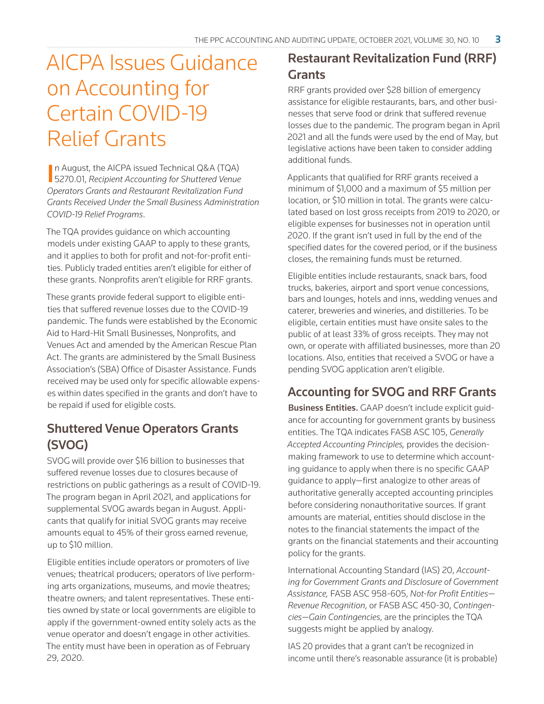## AICPA Issues Guidance on Accounting for Certain COVID-19 Relief Grants

In August, the AICPA issued Technical Q&A (TQA)<br>5270.01, *Recipient Accounting for Shuttered Venue* n August, the AICPA issued Technical Q&A (TQA) *Operators Grants and Restaurant Revitalization Fund Grants Received Under the Small Business Administration COVID-19 Relief Programs*.

The TQA provides guidance on which accounting models under existing GAAP to apply to these grants, and it applies to both for profit and not-for-profit entities. Publicly traded entities aren't eligible for either of these grants. Nonprofits aren't eligible for RRF grants.

These grants provide federal support to eligible entities that suffered revenue losses due to the COVID-19 pandemic. The funds were established by the Economic Aid to Hard-Hit Small Businesses, Nonprofits, and Venues Act and amended by the American Rescue Plan Act. The grants are administered by the Small Business Association's (SBA) Office of Disaster Assistance. Funds received may be used only for specific allowable expenses within dates specified in the grants and don't have to be repaid if used for eligible costs.

## Shuttered Venue Operators Grants (SVOG)

SVOG will provide over \$16 billion to businesses that suffered revenue losses due to closures because of restrictions on public gatherings as a result of COVID-19. The program began in April 2021, and applications for supplemental SVOG awards began in August. Applicants that qualify for initial SVOG grants may receive amounts equal to 45% of their gross earned revenue, up to \$10 million.

Eligible entities include operators or promoters of live venues; theatrical producers; operators of live performing arts organizations, museums, and movie theatres; theatre owners; and talent representatives. These entities owned by state or local governments are eligible to apply if the government-owned entity solely acts as the venue operator and doesn't engage in other activities. The entity must have been in operation as of February 29, 2020.

## Restaurant Revitalization Fund (RRF) **Grants**

RRF grants provided over \$28 billion of emergency assistance for eligible restaurants, bars, and other businesses that serve food or drink that suffered revenue losses due to the pandemic. The program began in April 2021 and all the funds were used by the end of May, but legislative actions have been taken to consider adding additional funds.

Applicants that qualified for RRF grants received a minimum of \$1,000 and a maximum of \$5 million per location, or \$10 million in total. The grants were calculated based on lost gross receipts from 2019 to 2020, or eligible expenses for businesses not in operation until 2020. If the grant isn't used in full by the end of the specified dates for the covered period, or if the business closes, the remaining funds must be returned.

Eligible entities include restaurants, snack bars, food trucks, bakeries, airport and sport venue concessions, bars and lounges, hotels and inns, wedding venues and caterer, breweries and wineries, and distilleries. To be eligible, certain entities must have onsite sales to the public of at least 33% of gross receipts. They may not own, or operate with affiliated businesses, more than 20 locations. Also, entities that received a SVOG or have a pending SVOG application aren't eligible.

### Accounting for SVOG and RRF Grants

Business Entities. GAAP doesn't include explicit guidance for accounting for government grants by business entities. The TQA indicates FASB ASC 105, *Generally Accepted Accounting Principles,* provides the decisionmaking framework to use to determine which accounting guidance to apply when there is no specific GAAP guidance to apply—first analogize to other areas of authoritative generally accepted accounting principles before considering nonauthoritative sources. If grant amounts are material, entities should disclose in the notes to the financial statements the impact of the grants on the financial statements and their accounting policy for the grants.

International Accounting Standard (IAS) 20, *Accounting for Government Grants and Disclosure of Government Assistance,* FASB ASC 958-605, *Not-for Profit Entities— Revenue Recognition*, or FASB ASC 450-30, *Contingencies—Gain Contingencies*, are the principles the TQA suggests might be applied by analogy.

IAS 20 provides that a grant can't be recognized in income until there's reasonable assurance (it is probable)